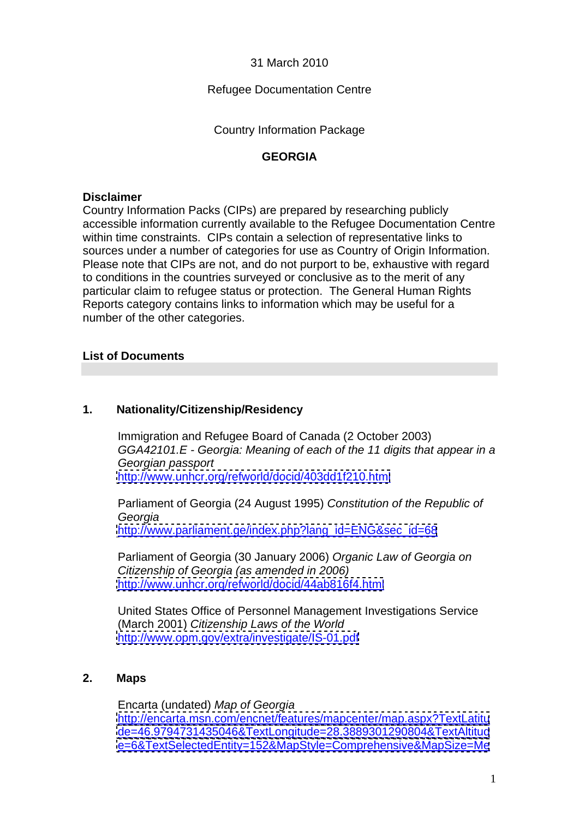31 March 2010

## Refugee Documentation Centre

Country Information Package

## **GEORGIA**

### **Disclaimer**

Country Information Packs (CIPs) are prepared by researching publicly accessible information currently available to the Refugee Documentation Centre within time constraints. CIPs contain a selection of representative links to sources under a number of categories for use as Country of Origin Information. Please note that CIPs are not, and do not purport to be, exhaustive with regard to conditions in the countries surveyed or conclusive as to the merit of any particular claim to refugee status or protection. The General Human Rights Reports category contains links to information which may be useful for a number of the other categories.

# **List of Documents**

## **1. Nationality/Citizenship/Residency**

Immigration and Refugee Board of Canada (2 October 2003) GGA42101.E - Georgia: Meaning of each of the 11 digits that appear in a Georgian passport <http://www.unhcr.org/refworld/docid/403dd1f210.html>

Parliament of Georgia (24 August 1995) Constitution of the Republic of Georgia [http://www.parliament.ge/index.php?lang\\_id=ENG&sec\\_id=68](http://www.parliament.ge/index.php?lang_id=ENG&sec_id=68)

Parliament of Georgia (30 January 2006) Organic Law of Georgia on Citizenship of Georgia (as amended in 2006)<br><http://www.unhcr.org/refworld/docid/44ab816f4.html>

United States Office of Personnel Management Investigations Service (March 2001) Citizenship Laws of the World <http://www.opm.gov/extra/investigate/IS-01.pdf>

#### **2. Maps**

Encarta (undated) Map of Georgia <http://encarta.msn.com/encnet/features/mapcenter/map.aspx?TextLatitu> <de=46.9794731435046&TextLongitude=28.3889301290804&TextAltitud> <e=6&TextSelectedEntity=152&MapStyle=Comprehensive&MapSize=Me>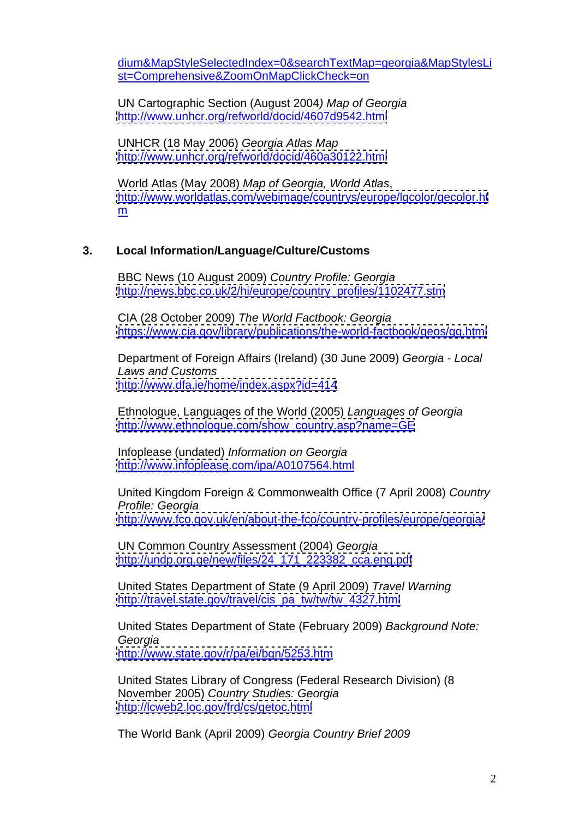dium&MapStyleSelectedIndex=0&searchTextMap=georgia&MapStylesLi st=Comprehensive&ZoomOnMapClickCheck=on

UN Cartographic Section (August 2004) Map of Georgia <http://www.unhcr.org/refworld/docid/4607d9542.html>

UNHCR (18 May 2006) Georgia Atlas Map <http://www.unhcr.org/refworld/docid/460a30122.html>

World Atlas (May 2008) Map of Georgia, World Atlas, <http://www.worldatlas.com/webimage/countrys/europe/lgcolor/gecolor.ht> m and the contract of the contract of the contract of the contract of the contract of the contract of the contract of the contract of the contract of the contract of the contract of the contract of the contract of the cont

### **3. Local Information/Language/Culture/Customs**

BBC News (10 August 2009) Country Profile: Georgia [http://news.bbc.co.uk/2/hi/europe/country\\_profiles/1102477.stm](http://news.bbc.co.uk/2/hi/europe/country_profiles/1102477.stm)

CIA (28 October 2009) The World Factbook: Georgia <https://www.cia.gov/library/publications/the-world-factbook/geos/gg.html>

Department of Foreign Affairs (Ireland) (30 June 2009) Georgia - Local Laws and Customs <http://www.dfa.ie/home/index.aspx?id=414>

Ethnologue, Languages of the World (2005) Languages of Georgia [http://www.ethnologue.com/show\\_country.asp?name=GE](http://www.ethnologue.com/show_country.asp?name=GE)

Infoplease (undated) Information on Georgia <http://www.infoplease>.com/ipa/A0107564.html

United Kingdom Foreign & Commonwealth Office (7 April 2008) Country Profile: Georgia <http://www.fco.gov.uk/en/about-the-fco/country-profiles/europe/georgia/>

UN Common Country Assessment (2004) Georgia [http://undp.org.ge/new/files/24\\_171\\_223382\\_cca.eng.pdf](http://undp.org.ge/new/files/24_171_223382_cca.eng.pdf)

United States Department of State (9 April 2009) Travel Warning [http://travel.state.gov/travel/cis\\_pa\\_tw/tw/tw\\_4327.html](http://travel.state.gov/travel/cis_pa_tw/tw/tw_4327.html)

United States Department of State (February 2009) Background Note: Georgia <http://www.state.gov/r/pa/ei/bgn/5253.htm><br>United States Library of Congress (Federal Research Division) (8

November 2005) Country Studies: Georgia <http://lcweb2.loc.gov/frd/cs/getoc.html>

The World Bank (April 2009) Georgia Country Brief 2009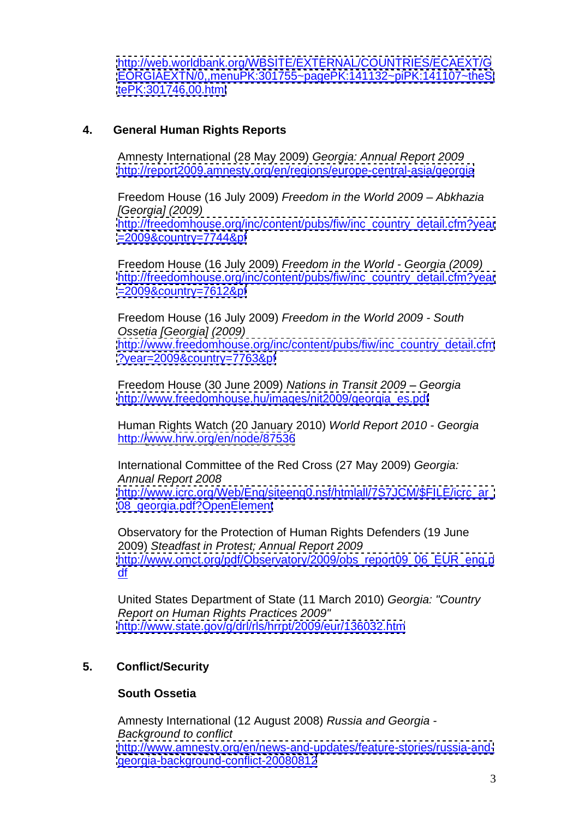<http://web.worldbank.org/WBSITE/EXTERNAL/COUNTRIES/ECAEXT/G> <EORGIAEXTN/0,,menuPK:301755~pagePK:141132~piPK:141107~theSi> <tePK:301746,00.html>

## **4. General Human Rights Reports**

Amnesty International (28 May 2009) Georgia: Annual Report 2009

<u><http://report2009.amnesty.org/en/regions/europe-central-asia/georgia></u><br>Freedom House (16 July 2009) *Freedom in the World 2009 – Abkhazia* [Georgia] (2009) [http://freedomhouse.org/inc/content/pubs/fiw/inc\\_country\\_detail.cfm?year](http://freedomhouse.org/inc/content/pubs/fiw/inc_country_detail.cfm?year) <=2009&country=7744&pf> Freedom House (16 July 2009) Freedom in the World - Georgia (2009)

[http://freedomhouse.org/inc/content/pubs/fiw/inc\\_country\\_detail.cfm?year](http://freedomhouse.org/inc/content/pubs/fiw/inc_country_detail.cfm?year)

<u><=2009&country=7612&pf></u><br>Freedom House (16 July 2009) *Freedom in the World 2009 - South* Ossetia [Georgia] (2009) [http://www.freedomhouse.org/inc/content/pubs/fiw/inc\\_country\\_detail.cfm](http://www.freedomhouse.org/inc/content/pubs/fiw/inc_country_detail.cfm) <?year=2009&country=7763&pf>

Freedom House (30 June 2009) Nations in Transit 2009 – Georgia

<u>[http://www.freedomhouse.hu/images/nit2009/georgia\\_es.pdf](http://www.freedomhouse.hu/images/nit2009/georgia_es.pdf)</u><br>Human Rights Watch (20 January 2010) *World Report 2010 - Georgia* http:/[/www.hrw.org/en/node/87536](http://www.hrw.org/en/node/87536)

International Committee of the Red Cross (27 May 2009) Georgia: Annual Report 2008 [http://www.icrc.org/Web/Eng/siteeng0.nsf/htmlall/7S7JCM/\\$FILE/icrc\\_ar\\_](http://www.icrc.org/Web/Eng/siteeng0.nsf/htmlall/7S7JCM/$FILE/icrc_ar_) 08 georgia.pdf?OpenElement<br>Observatory for the Protection of Human Rights Defenders (19 June

2009) Steadfast in Protest; Annual Report 2009 [http://www.omct.org/pdf/Observatory/2009/obs\\_report09\\_06\\_EUR\\_eng.p](http://www.omct.org/pdf/Observatory/2009/obs_report09_06_EUR_eng.p) df <u>df</u> and the contract of the contract of the contract of the contract of the contract of the contract of the contract of the contract of the contract of the contract of the contract of the contract of the contract of the c

United States Department of State (11 March 2010) Georgia: "Country Report on Human Rights Practices 2009" <http://www.state.gov/g/drl/rls/hrrpt/2009/eur/136032.htm>

# **5. Conflict/Security**

# **South Ossetia**

Amnesty International (12 August 2008) Russia and Georgia - Background to conflict [http://www.amnesty.org/en/news-and-updates/feature-stories/russia-and](http://www.amnesty.org/en/news-and-updates/feature-stories/russia-and-) <georgia-background-conflict-20080812>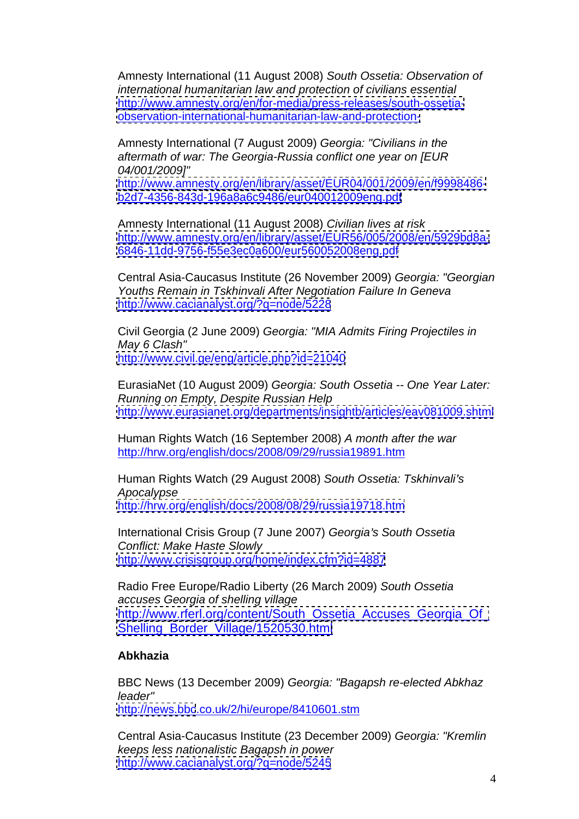Amnesty International (11 August 2008) South Ossetia: Observation of international humanitarian law and protection of civilians essential [http://www.amnesty.org/en/for-media/press-releases/south-ossetia](http://www.amnesty.org/en/for-media/press-releases/south-ossetia-) <observation-international-humanitarian-law-and-protection->

Amnesty International (7 August 2009) Georgia: "Civilians in the aftermath of war: The Georgia-Russia conflict one year on [EUR 04/001/2009]"

[http://www.amnesty.org/en/library/asset/EUR04/001/2009/en/f9998486](http://www.amnesty.org/en/library/asset/EUR04/001/2009/en/f9998486-) <b2d7-4356-843d-196a8a6c9486/eur040012009eng.pdf>

Amnesty International (11 August 2008) Civilian lives at risk <http://www.amnesty.org/en/library/asset/EUR56/005/2008/en/5929bd8a-><br>6846-11dd-9756-f55e3ec0a600/eur560052008eng.pdf

Central Asia-Caucasus Institute (26 November 2009) Georgia: "Georgian Youths Remain in Tskhinvali After Negotiation Failure In Geneva <http://www.cacianalyst.org/?q=node/5228>

Civil Georgia (2 June 2009) Georgia: "MIA Admits Firing Projectiles in May 6 Clash"

<http://www.civil.ge/eng/article.php?id=21040><br>EurasiaNet (10 August 2009) Georgia: South Ossetia -- One Year Later: Running on Empty, Despite Russian Help <http://www.eurasianet.org/departments/insightb/articles/eav081009.shtml>

Human Rights Watch (16 September 2008) A month after the war

<u>http://hrw.org/english/docs/2008/09/29/russia19891.htm</u><br>Human Rights Watch (29 August 2008) *South Ossetia: Tskhinvali's* Apocalypse <http://hrw.org/english/docs/2008/08/29/russia19718.htm>

International Crisis Group (7 June 2007) Georgia's South Ossetia Conflict: Make Haste Slowly

<u><http://www.crisisgroup.org/home/index.cfm?id=4887></u><br>Radio Free Europe/Radio Liberty (26 March 2009) *South Ossetia* accuses Georgia of shelling village [http://www.rferl.org/content/South\\_Ossetia\\_Accuses\\_Georgia\\_Of\\_](http://www.rferl.org/content/South_Ossetia_Accuses_Georgia_Of_) [Shelling\\_Border\\_Village/1520530.html](Shelling_Border_Village/1520530.html)

#### **Abkhazia**

BBC News (13 December 2009) Georgia: "Bagapsh re-elected Abkhaz leader" <http://news.bbc>.co.uk/2/hi/europe/8410601.stm

Central Asia-Caucasus Institute (23 December 2009) Georgia: "Kremlin keeps less nationalistic Bagapsh in power <http://www.cacianalyst.org/?q=node/5245>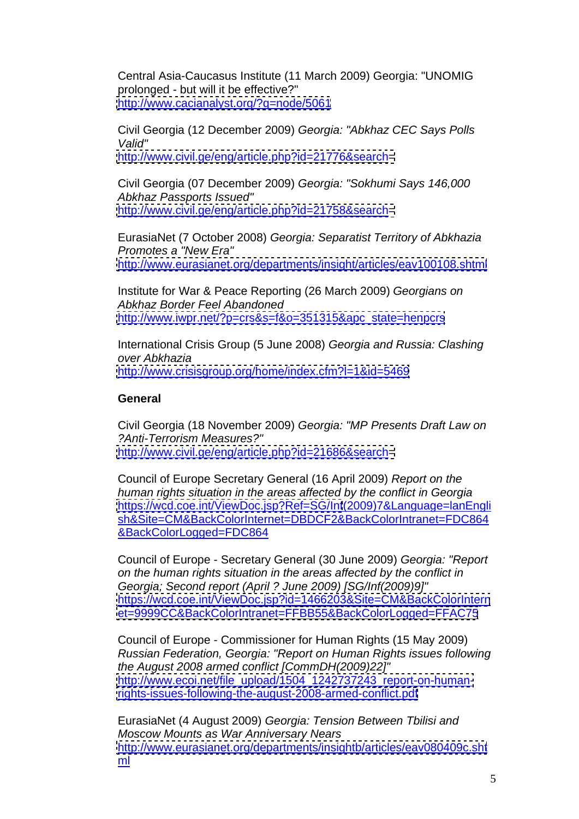Central Asia-Caucasus Institute (11 March 2009) Georgia: "UNOMIG prolonged - but will it be effective?" <http://www.cacianalyst.org/?q=node/5061>

Civil Georgia (12 December 2009) Georgia: "Abkhaz CEC Says Polls Valid" <http://www.civil.ge/eng/article.php?id=21776&search=>

Civil Georgia (07 December 2009) Georgia: "Sokhumi Says 146,000 Abkhaz Passports Issued" <http://www.civil.ge/eng/article.php?id=21758&search=>

EurasiaNet (7 October 2008) Georgia: Separatist Territory of Abkhazia Promotes a "New Era" <http://www.eurasianet.org/departments/insight/articles/eav100108.shtml>

Institute for War & Peace Reporting (26 March 2009) Georgians on Abkhaz Border Feel Abandoned [http://www.iwpr.net/?p=crs&s=f&o=351315&apc\\_state=henpcrs](http://www.iwpr.net/?p=crs&s=f&o=351315&apc_state=henpcrs)

International Crisis Group (5 June 2008) Georgia and Russia: Clashing over Abkhazia <http://www.crisisgroup.org/home/index.cfm?l=1&id=5469>

## **General General**

Civil Georgia (18 November 2009) Georgia: "MP Presents Draft Law on ?Anti-Terrorism Measures?" <http://www.civil.ge/eng/article.php?id=21686&search=>

Council of Europe Secretary General (16 April 2009) Report on the human rights situation in the areas affected by the conflict in Georgia <https://wcd.coe.int/ViewDoc.jsp?Ref=SG/Inf>(2009)7&Language=lanEngli sh&Site=CM&BackColorInternet=DBDCF2&BackColorIntranet=FDC864 &BackColorLogged=FDC864

Council of Europe - Secretary General (30 June 2009) Georgia: "Report on the human rights situation in the areas affected by the conflict in Georgia; Second report (April ? June 2009) [SG/Inf(2009)9]" <https://wcd.coe.int/ViewDoc.jsp?id=1466203&Site=CM&BackColorIntern> <et=9999CC&BackColorIntranet=FFBB55&BackColorLogged=FFAC75>

Council of Europe - Commissioner for Human Rights (15 May 2009) Russian Federation, Georgia: "Report on Human Rights issues following the August 2008 armed conflict [CommDH(2009)22]" [http://www.ecoi.net/file\\_upload/1504\\_1242737243\\_report-on-human](http://www.ecoi.net/file_upload/1504_1242737243_report-on-human-)<rights-issues-following-the-august-2008-armed-conflict.pdf>

EurasiaNet (4 August 2009) Georgia: Tension Between Tbilisi and Moscow Mounts as War Anniversary Nears <http://www.eurasianet.org/departments/insightb/articles/eav080409c.sht> ml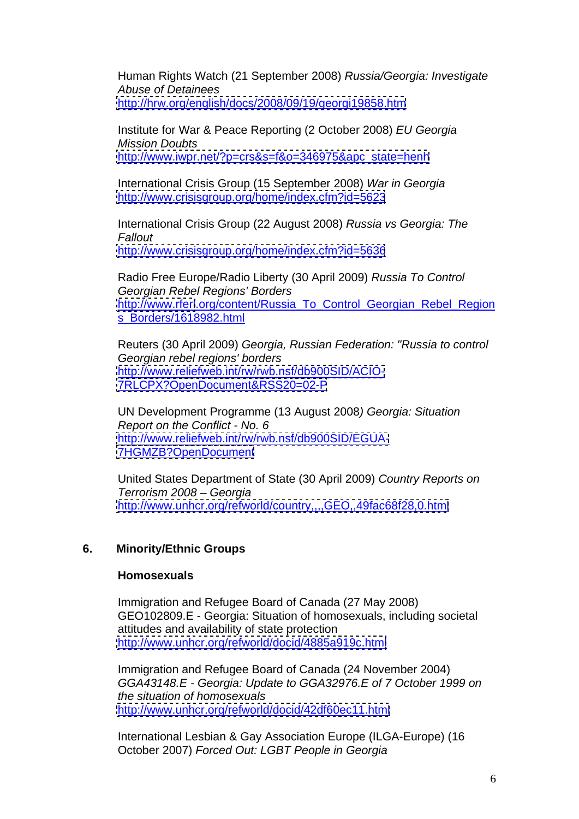Human Rights Watch (21 September 2008) Russia/Georgia: Investigate Abuse of Detainees <http://hrw.org/english/docs/2008/09/19/georgi19858.htm>

Institute for War & Peace Reporting (2 October 2008) EU Georgia Mission Doubts [http://www.iwpr.net/?p=crs&s=f&o=346975&apc\\_state=henh](http://www.iwpr.net/?p=crs&s=f&o=346975&apc_state=henh)

International Crisis Group (15 September 2008) War in Georgia <http://www.crisisgroup.org/home/index.cfm?id=5623>

International Crisis Group (22 August 2008) Russia vs Georgia: The **Fallout Fallout** 

<u><http://www.crisisgroup.org/home/index.cfm?id=5636></u><br>Radio Free Europe/Radio Liberty (30 April 2009) *Russia To Control* Georgian Rebel Regions' Borders <http://www.rferl>.org/content/Russia\_To\_Control\_Georgian\_Rebel\_Region s\_Borders/1618982.html<br>Reuters (30 April 2009) Georgia, Russian Federation: "Russia to control

Georgian rebel regions' borders <http://www.reliefweb.int/rw/rwb.nsf/db900SID/ACIO-> <7RLCPX?OpenDocument&RSS20=02-P>

UN Development Programme (13 August 2008) Georgia: Situation Report on the Conflict - No. 6 <http://www.reliefweb.int/rw/rwb.nsf/db900SID/EGUA->

THGMZB?OpenDocument<br>United States Department of State (30 April 2009) Country Reports on Terrorism 2008 – Georgia **Grandes Antiquist Contract Contract Contract Contract Contract Contract Contract Contract Contract Contract Contract Contract Contract Contract Contract Contract Contract Contract Contract Contrac** <http://www.unhcr.org/refworld/country,,,,GEO,,49fac68f28,0.html>

# **6. Minority/Ethnic Groups**

#### **Homosexuals**

Immigration and Refugee Board of Canada (27 May 2008) GEO102809.E - Georgia: Situation of homosexuals, including societal attitudes and availability of state protection <http://www.unhcr.org/refworld/docid/4885a919c.html>

Immigration and Refugee Board of Canada (24 November 2004) GGA43148.E - Georgia: Update to GGA32976.E of 7 October 1999 on the situation of homosexuals <http://www.unhcr.org/refworld/docid/42df60ec11.html>

International Lesbian & Gay Association Europe (ILGA-Europe) (16 October 2007) Forced Out: LGBT People in Georgia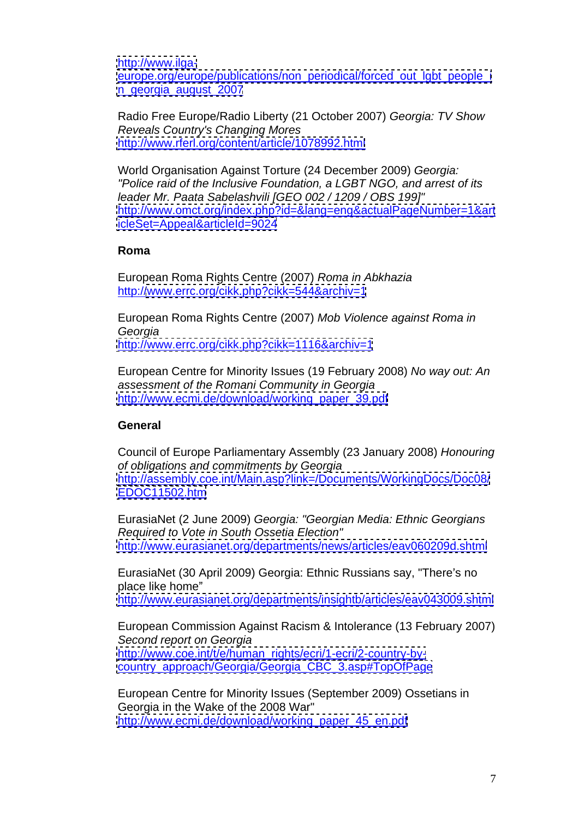<http://www.ilga->

[europe.org/europe/publications/non\\_periodical/forced\\_out\\_lgbt\\_people\\_i](europe.org/europe/publications/non_periodical/forced_out_lgbt_people_i) [n\\_georgia\\_august\\_2007](n_georgia_august_2007)

Radio Free Europe/Radio Liberty (21 October 2007) Georgia: TV Show Reveals Country's Changing Mores <http://www.rferl.org/content/article/1078992.html>

World Organisation Against Torture (24 December 2009) Georgia: "Police raid of the Inclusive Foundation, a LGBT NGO, and arrest of its leader Mr. Paata Sabelashvili [GEO 002 / 1209 / OBS 199]" <http://www.omct.org/index.php?id=&lang=eng&actualPageNumber=1&art> <icleSet=Appeal&articleId=9024>

## **Roma**

European Roma Rights Centre (2007) Roma in Abkhazia http:/[/www.errc.org/cikk.php?cikk=544&archiv=1](http://www.errc.org/cikk.php?cikk=544&archiv=1)

European Roma Rights Centre (2007) Mob Violence against Roma in Georgia <http://www.errc.org/cikk.php?cikk=1116&archiv=1>

European Centre for Minority Issues (19 February 2008) No way out: An assessment of the Romani Community in Georgia [http://www.ecmi.de/download/working\\_paper\\_39.pdf](http://www.ecmi.de/download/working_paper_39.pdf)

# **General General**

Council of Europe Parliamentary Assembly (23 January 2008) Honouring of obligations and commitments by Georgia <http://assembly.coe.int/Main.asp?link=/Documents/WorkingDocs/Doc08/> <EDOC11502.htm>

EurasiaNet (2 June 2009) Georgia: "Georgian Media: Ethnic Georgians Required to Vote in South Ossetia Election" <http://www.eurasianet.org/departments/news/articles/eav060209d.shtml>

EurasiaNet (30 April 2009) Georgia: Ethnic Russians say, "There's no place like home" and the state of the state of the state of the state of the state of the state of the state of the state of the state of the state of the state of the state of the state of the state of the state of the st

<http://www.eurasianet.org/departments/insightb/articles/eav043009.shtml>

European Commission Against Racism & Intolerance (13 February 2007) Second report on Georgia **Executive Second** report on Georgia [http://www.coe.int/t/e/human\\_rights/ecri/1-ecri/2-country-by](http://www.coe.int/t/e/human_rights/ecri/1-ecri/2-country-by-) [country\\_approach/Georgia/Georgia\\_CBC\\_3.asp#TopOfPage](country_approach/Georgia/Georgia_CBC_3.asp#TopOfPage)

European Centre for Minority Issues (September 2009) Ossetians in Georgia in the Wake of the 2008 War" [http://www.ecmi.de/download/working\\_paper\\_45\\_en.pdf](http://www.ecmi.de/download/working_paper_45_en.pdf)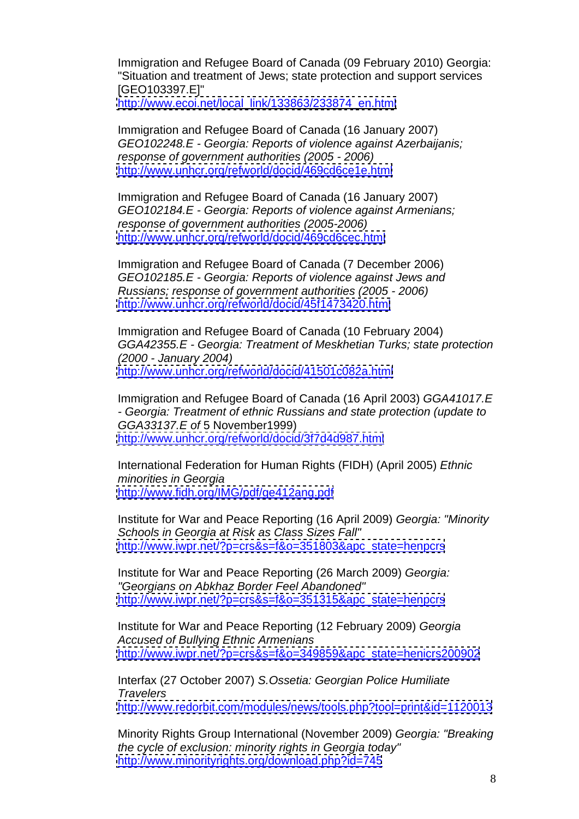Immigration and Refugee Board of Canada (09 February 2010) Georgia: "Situation and treatment of Jews; state protection and support services [GEO103397.E]"

[http://www.ecoi.net/local\\_link/133863/233874\\_en.html](http://www.ecoi.net/local_link/133863/233874_en.html)

Immigration and Refugee Board of Canada (16 January 2007) GEO102248.E - Georgia: Reports of violence against Azerbaijanis; response of government authorities (2005 - 2006) <http://www.unhcr.org/refworld/docid/469cd6ce1e.html>

Immigration and Refugee Board of Canada (16 January 2007) GEO102184.E - Georgia: Reports of violence against Armenians; response of government authorities (2005-2006) <http://www.unhcr.org/refworld/docid/469cd6cec.html>

Immigration and Refugee Board of Canada (7 December 2006) GEO102185.E - Georgia: Reports of violence against Jews and Russians; response of government authorities (2005 - 2006) <http://www.unhcr.org/refworld/docid/45f1473420.html>

Immigration and Refugee Board of Canada (10 February 2004) GGA42355.E - Georgia: Treatment of Meskhetian Turks; state protection (2000 - January 2004) <http://www.unhcr.org/refworld/docid/41501c082a.html>

Immigration and Refugee Board of Canada (16 April 2003) GGA41017.E<br>- Georgia: Treatment of ethnic Russians and state protection (update to GGA33137.E of 5 November1999) <http://www.unhcr.org/refworld/docid/3f7d4d987.html>

International Federation for Human Rights (FIDH) (April 2005) Ethnic minorities in Georgia <http://www.fidh.org/IMG/pdf/ge412ang.pdf>

Institute for War and Peace Reporting (16 April 2009) Georgia: "Minority Schools in Georgia at Risk as Class Sizes Fall" [http://www.iwpr.net/?p=crs&s=f&o=351803&apc\\_state=henpcrs](http://www.iwpr.net/?p=crs&s=f&o=351803&apc_state=henpcrs)

Institute for War and Peace Reporting (26 March 2009) Georgia: "Georgians on Abkhaz Border Feel Abandoned" [http://www.iwpr.net/?p=crs&s=f&o=351315&apc\\_state=henpcrs](http://www.iwpr.net/?p=crs&s=f&o=351315&apc_state=henpcrs)

Institute for War and Peace Reporting (12 February 2009) Georgia Accused of Bullying Ethnic Armenians [http://www.iwpr.net/?p=crs&s=f&o=349859&apc\\_state=henicrs200902](http://www.iwpr.net/?p=crs&s=f&o=349859&apc_state=henicrs200902)

Interfax (27 October 2007) S.Ossetia: Georgian Police Humiliate **Travelers** and the state of the state of the state of the state of the state of the state of the state of the state of the state of the state of the state of the state of the state of the state of the state of the state o <http://www.redorbit.com/modules/news/tools.php?tool=print&id=1120013>

Minority Rights Group International (November 2009) Georgia: "Breaking the cycle of exclusion: minority rights in Georgia today" <http://www.minorityrights.org/download.php?id=745>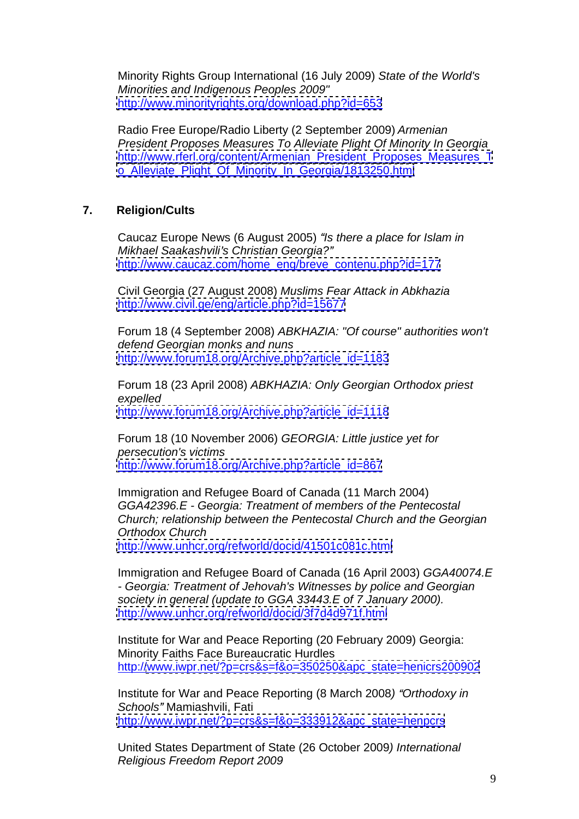Minority Rights Group International (16 July 2009) State of the World's Minorities and Indigenous Peoples 2009" <http://www.minorityrights.org/download.php?id=653>

Radio Free Europe/Radio Liberty (2 September 2009) Armenian President Proposes Measures To Alleviate Plight Of Minority In Georgia [http://www.rferl.org/content/Armenian\\_President\\_Proposes\\_Measures\\_T](http://www.rferl.org/content/Armenian_President_Proposes_Measures_T) [o\\_Alleviate\\_Plight\\_Of\\_Minority\\_In\\_Georgia/1813250.html](o_Alleviate_Plight_Of_Minority_In_Georgia/1813250.html)

## **7. Religion/Cults**

Caucaz Europe News (6 August 2005) "Is there a place for Islam in Mikhael Saakashvili's Christian Georgia?" [http://www.caucaz.com/home\\_eng/breve\\_contenu.php?id=177](http://www.caucaz.com/home_eng/breve_contenu.php?id=177)

Civil Georgia (27 August 2008) Muslims Fear Attack in Abkhazia <http://www.civil.ge/eng/article.php?id=15677>

Forum 18 (4 September 2008) ABKHAZIA: "Of course" authorities won't defend Georgian monks and nuns [http://www.forum18.org/Archive.php?article\\_id=1183](http://www.forum18.org/Archive.php?article_id=1183)<br> Forum 18 (23 April 2008) ABKHAZIA: Only Georgian Orthodox priest

expelled [http://www.forum18.org/Archive.php?article\\_id=1118](http://www.forum18.org/Archive.php?article_id=1118)

Forum 18 (10 November 2006) GEORGIA: Little justice yet for persecution's victims [http://www.forum18.org/Archive.php?article\\_id=867](http://www.forum18.org/Archive.php?article_id=867)

Immigration and Refugee Board of Canada (11 March 2004) GGA42396.E - Georgia: Treatment of members of the Pentecostal Church; relationship between the Pentecostal Church and the Georgian Orthodox Church <http://www.unhcr.org/refworld/docid/41501c081c.html>

Immigration and Refugee Board of Canada (16 April 2003) GGA40074.E<br>- Georgia: Treatment of Jehovah's Witnesses by police and Georgian society in general (update to GGA 33443.E of 7 January 2000). <http://www.unhcr.org/refworld/docid/3f7d4d971f.html>

Institute for War and Peace Reporting (20 February 2009) Georgia: Minority Faiths Face Bureaucratic Hurdles http:/[/www.iwpr.net/?p=crs&s=f&o=350250&apc\\_state=henicrs200902](http://www.iwpr.net/?p=crs&s=f&o=350250&apc_state=henicrs200902)

Institute for War and Peace Reporting (8 March 2008) "Orthodoxy in Schools" Mamiashvili, Fati [http://www.iwpr.net/?p=crs&s=f&o=333912&apc\\_state=henpcrs](http://www.iwpr.net/?p=crs&s=f&o=333912&apc_state=henpcrs)

United States Department of State (26 October 2009) International Religious Freedom Report 2009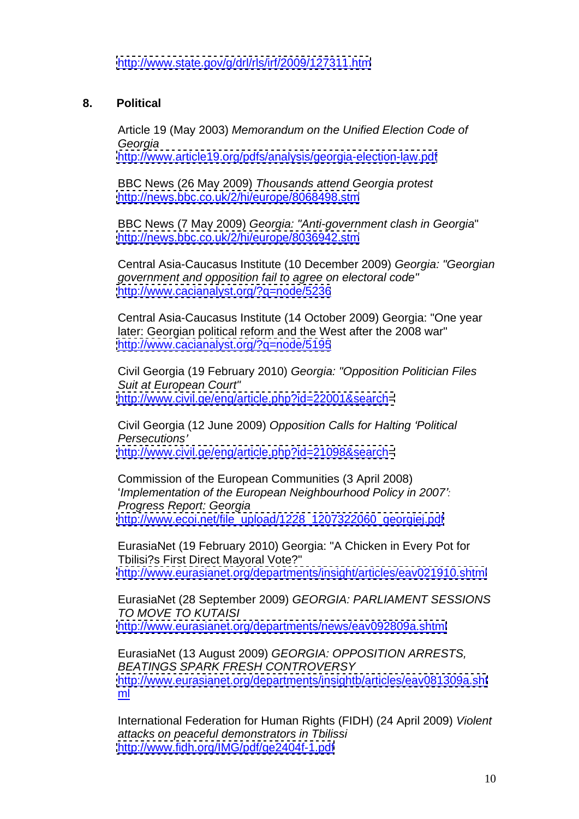# **8. Political**

Article 19 (May 2003) Memorandum on the Unified Election Code of Georgia

<http://www.article19.org/pdfs/analysis/georgia-election-law.pdf><br>BBC News (26 May 2009) Thousands attend Georgia protest<br>http://news.bbc.co.uk/2/hi/europe/8068498.stm

BBC News (7 May 2009) Georgia: "Anti-government clash in Georgia" <http://news.bbc.co.uk/2/hi/europe/8036942.stm><br>Central Asia-Caucasus Institute (10 December 2009) Georgia: "Georgian

government and opposition fail to agree on electoral code" <http://www.cacianalyst.org/?q=node/5236>

Central Asia-Caucasus Institute (14 October 2009) Georgia: "One year later: Georgian political reform and the West after the 2008 war" <http://www.cacianalyst.org/?q=node/5195>

Civil Georgia (19 February 2010) Georgia: "Opposition Politician Files Suit at European Court" <http://www.civil.ge/eng/article.php?id=22001&search=>

Civil Georgia (12 June 2009) Opposition Calls for Halting 'Political Persecutions' and the second second second second second second second second second second second second second second second second second second second second second second second second second second second second seco <http://www.civil.ge/eng/article.php?id=21098&search=>

Commission of the European Communities (3 April 2008) 'Implementation of the European Neighbourhood Policy in 2007': Progress Report: Georgia http://www.ecoi.net/file\_upload/1228\_1207322060\_georgiei.pdf

EurasiaNet (19 February 2010) Georgia: "A Chicken in Every Pot for Tbilisi?s First Direct Mayoral Vote?" <http://www.eurasianet.org/departments/insight/articles/eav021910.shtml>

EurasiaNet (28 September 2009) GEORGIA: PARLIAMENT SESSIONS TO MOVE TO KUTAISI <http://www.eurasianet.org/departments/news/eav092809a.shtml>

EurasiaNet (13 August 2009) GEORGIA: OPPOSITION ARRESTS, BEATINGS SPARK FRESH CONTROVERSY <http://www.eurasianet.org/departments/insightb/articles/eav081309a.sht> ml and the state of the state of the state of the state of the state of the state of the state of the state of

International Federation for Human Rights (FIDH) (24 April 2009) Violent attacks on peaceful demonstrators in Tbilissi <http://www.fidh.org/IMG/pdf/ge2404f-1.pdf>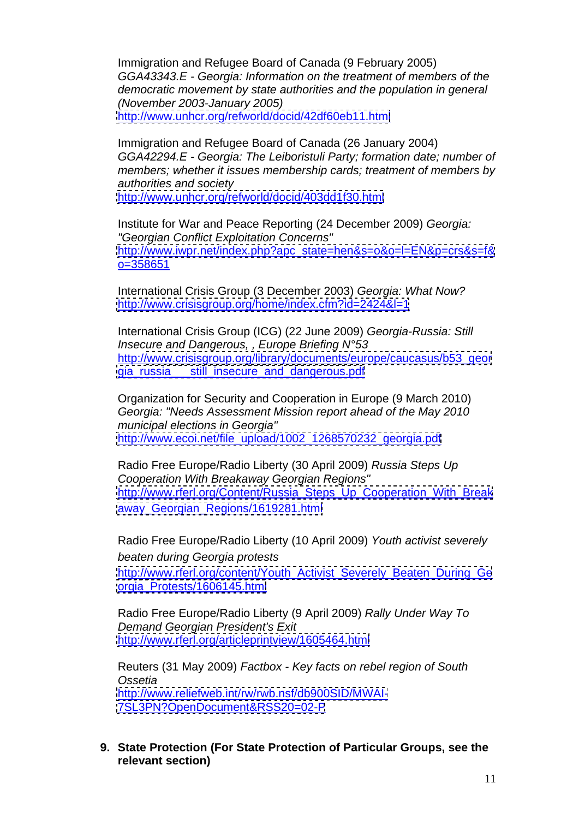Immigration and Refugee Board of Canada (9 February 2005) GGA43343.E - Georgia: Information on the treatment of members of the democratic movement by state authorities and the population in general (November 2003-January 2005) <http://www.unhcr.org/refworld/docid/42df60eb11.html>

Immigration and Refugee Board of Canada (26 January 2004) GGA42294.E - Georgia: The Leiboristuli Party; formation date; number of members; whether it issues membership cards; treatment of members by authorities and society

<http://www.unhcr.org/refworld/docid/403dd1f30.html>

Institute for War and Peace Reporting (24 December 2009) Georgia: "Georgian Conflict Exploitation Concerns" [http://www.iwpr.net/index.php?apc\\_state=hen&s=o&o=l=EN&p=crs&s=f&](http://www.iwpr.net/index.php?apc_state=hen&s=o&o=l=EN&p=crs&s=f&) o=358651

International Crisis Group (3 December 2003) Georgia: What Now? <http://www.crisisgroup.org/home/index.cfm?id=2424&l=1>

International Crisis Group (ICG) (22 June 2009) Georgia-Russia: Still Insecure and Dangerous, , Europe Briefing N°53 http:/[/www.crisisgroup.org/library/documents/europe/caucasus/b53\\_geor](http://www.crisisgroup.org/library/documents/europe/caucasus/b53_geor) [gia\\_russia\\_\\_\\_still\\_insecure\\_and\\_dangerous.pdf](gia_russia___still_insecure_and_dangerous.pdf)

Organization for Security and Cooperation in Europe (9 March 2010) Georgia: "Needs Assessment Mission report ahead of the May 2010 municipal elections in Georgia" [http://www.ecoi.net/file\\_upload/1002\\_1268570232\\_georgia.pdf](http://www.ecoi.net/file_upload/1002_1268570232_georgia.pdf)

Radio Free Europe/Radio Liberty (30 April 2009) Russia Steps Up Cooperation With Breakaway Georgian Regions" [http://www.rferl.org/Content/Russia\\_Steps\\_Up\\_Cooperation\\_With\\_Break](http://www.rferl.org/Content/Russia_Steps_Up_Cooperation_With_Break) [away\\_Georgian\\_Regions/1619281.html](away_Georgian_Regions/1619281.html)

Radio Free Europe/Radio Liberty (10 April 2009) Youth activist severely beaten during Georgia protests

[http://www.rferl.org/content/Youth\\_Activist\\_Severely\\_Beaten\\_During\\_Ge](http://www.rferl.org/content/Youth_Activist_Severely_Beaten_During_Ge) [orgia\\_Protests/1606145.html](orgia_Protests/1606145.html)

Radio Free Europe/Radio Liberty (9 April 2009) Rally Under Way To Demand Georgian President's Exit <http://www.rferl.org/articleprintview/1605464.html>

Reuters (31 May 2009) Factbox - Key facts on rebel region of South Ossetia and the contract of the contract of the contract of the contract of the contract of the contract of the contract of the contract of the contract of the contract of the contract of the contract of the contract of th <http://www.reliefweb.int/rw/rwb.nsf/db900SID/MWAI-> <7SL3PN?OpenDocument&RSS20=02-P>

**9. State Protection (For State Protection of Particular Groups, see the relevant section)**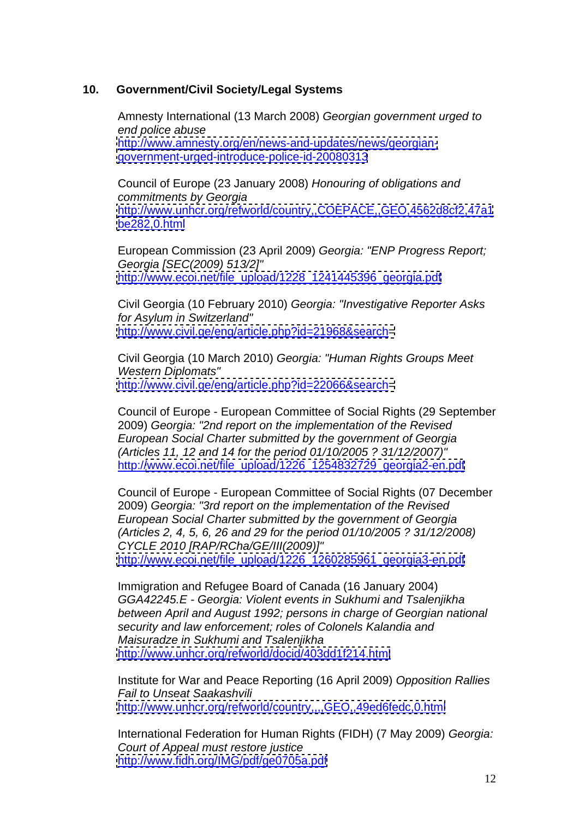## **10. Government/Civil Society/Legal Systems**

Amnesty International (13 March 2008) Georgian government urged to end police abuse [http://www.amnesty.org/en/news-and-updates/news/georgian](http://www.amnesty.org/en/news-and-updates/news/georgian-) <government-urged-introduce-police-id-20080313>

Council of Europe (23 January 2008) Honouring of obligations and commitments by Georgia <http://www.unhcr.org/refworld/country,,COEPACE,,GEO,4562d8cf2,47a1> <be282,0.html>

European Commission (23 April 2009) Georgia: "ENP Progress Report; Georgia [SEC(2009) 513/2]" [http://www.ecoi.net/file\\_upload/1228\\_1241445396\\_georgia.pdf](http://www.ecoi.net/file_upload/1228_1241445396_georgia.pdf)

Civil Georgia (10 February 2010) Georgia: "Investigative Reporter Asks for Asylum in Switzerland" <http://www.civil.ge/eng/article.php?id=21968&search=>

Civil Georgia (10 March 2010) Georgia: "Human Rights Groups Meet Western Diplomats" <http://www.civil.ge/eng/article.php?id=22066&search=>

Council of Europe - European Committee of Social Rights (29 September 2009) Georgia: "2nd report on the implementation of the Revised European Social Charter submitted by the government of Georgia (Articles 11, 12 and 14 for the period 01/10/2005 ? 31/12/2007)" http:/[/www.ecoi.net/file\\_upload/1226\\_1254832729\\_georgia2-en.pdf](http://www.ecoi.net/file_upload/1226_1254832729_georgia2-en.pdf)

Council of Europe - European Committee of Social Rights (07 December 2009) Georgia: "3rd report on the implementation of the Revised European Social Charter submitted by the government of Georgia (Articles 2, 4, 5, 6, 26 and 29 for the period 01/10/2005 ? 31/12/2008) CYCLE 2010 [RAP/RCha/GE/III(2009)]" [http://www.ecoi.net/file\\_upload/1226\\_1260285961\\_georgia3-en.pdf](http://www.ecoi.net/file_upload/1226_1260285961_georgia3-en.pdf)

Immigration and Refugee Board of Canada (16 January 2004) GGA42245.E - Georgia: Violent events in Sukhumi and Tsalenjikha between April and August 1992; persons in charge of Georgian national security and law enforcement; roles of Colonels Kalandia and Maisuradze in Sukhumi and Tsalenjikha <http://www.unhcr.org/refworld/docid/403dd1f214.html>

Institute for War and Peace Reporting (16 April 2009) Opposition Rallies Fail to Unseat Saakashvili <http://www.unhcr.org/refworld/country,,,,GEO,,49ed6fedc,0.html>

International Federation for Human Rights (FIDH) (7 May 2009) Georgia: Court of Appeal must restore justice <http://www.fidh.org/IMG/pdf/ge0705a.pdf>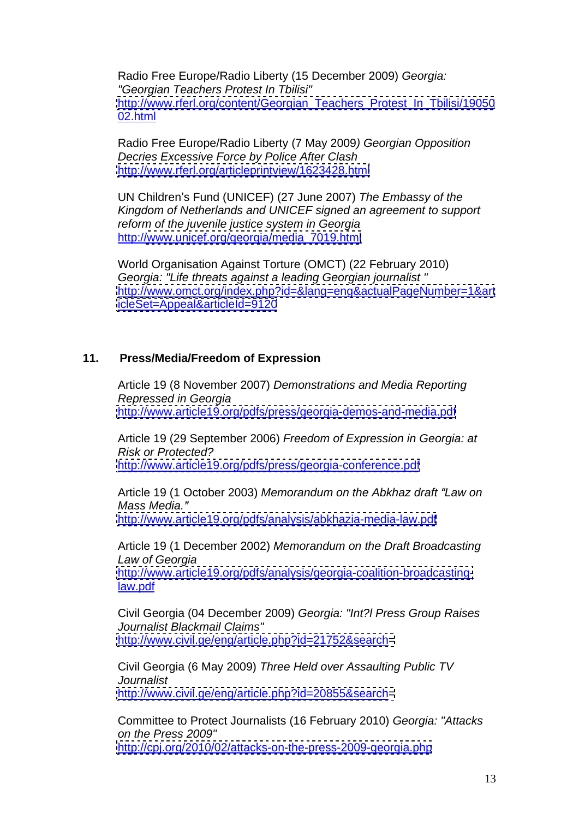Radio Free Europe/Radio Liberty (15 December 2009) Georgia: "Georgian Teachers Protest In Tbilisi" [http://www.rferl.org/content/Georgian\\_Teachers\\_Protest\\_In\\_Tbilisi/19050](http://www.rferl.org/content/Georgian_Teachers_Protest_In_Tbilisi/19050) 02.html

Radio Free Europe/Radio Liberty (7 May 2009) Georgian Opposition Decries Excessive Force by Police After Clash <http://www.rferl.org/articleprintview/1623428.html>

UN Children's Fund (UNICEF) (27 June 2007) The Embassy of the Kingdom of Netherlands and UNICEF signed an agreement to support reform of the juvenile justice system in Georgia

<u>http:/[/www.unicef.org/georgia/media\\_7019.html](http://www.unicef.org/georgia/media_7019.html)</u><br>World Organisation Against Torture (OMCT) (22 February 2010) Georgia: "Life threats against a leading Georgian journalist " <http://www.omct.org/index.php?id=&lang=eng&actualPageNumber=1&art> <icleSet=Appeal&articleId=9120>

## **11. Press/Media/Freedom of Expression**

Article 19 (8 November 2007) Demonstrations and Media Reporting Repressed in Georgia <http://www.article19.org/pdfs/press/georgia-demos-and-media.pdf>

Article 19 (29 September 2006) Freedom of Expression in Georgia: at Risk or Protected? <http://www.article19.org/pdfs/press/georgia-conference.pdf>

Article 19 (1 October 2003) Memorandum on the Abkhaz draft "Law on Mass Media. <http://www.article19.org/pdfs/analysis/abkhazia-media-law.pdf>

Article 19 (1 December 2002) Memorandum on the Draft Broadcasting Law of Georgia

[http://www.article19.org/pdfs/analysis/georgia-coalition-broadcasting](http://www.article19.org/pdfs/analysis/georgia-coalition-broadcasting-)law.pdf

Civil Georgia (04 December 2009) Georgia: "Int?l Press Group Raises Journalist Blackmail Claims" <http://www.civil.ge/eng/article.php?id=21752&search=>

Civil Georgia (6 May 2009) Three Held over Assaulting Public TV Journalist

<http://www.civil.ge/eng/article.php?id=20855&search=><br>Committee to Protect Journalists (16 February 2010) Georgia: "Attacks on the Press 2009" <http://cpj.org/2010/02/attacks-on-the-press-2009-georgia.php>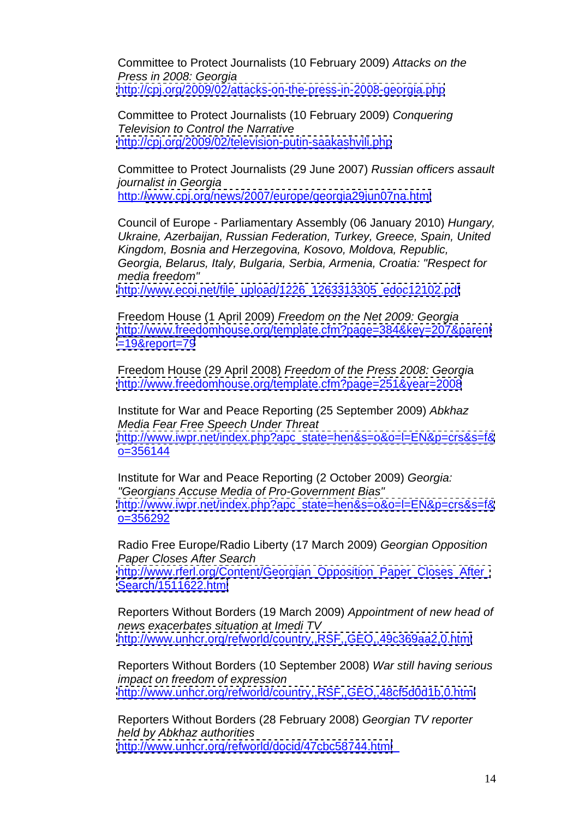Committee to Protect Journalists (10 February 2009) Attacks on the Press in 2008: Georgia <http://cpj.org/2009/02/attacks-on-the-press-in-2008-georgia.php><br>Committee to Protect Journalists (10 February 2009) Conquering

Television to Control the Narrative <http://cpj.org/2009/02/television-putin-saakashvili.php>

Committee to Protect Journalists (29 June 2007) Russian officers assault journalist in Georgia http:/[/www.cpj.org/news/2007/europe/georgia29jun07na.html](http://www.cpj.org/news/2007/europe/georgia29jun07na.html)

Council of Europe - Parliamentary Assembly (06 January 2010) Hungary, Ukraine, Azerbaijan, Russian Federation, Turkey, Greece, Spain, United Kingdom, Bosnia and Herzegovina, Kosovo, Moldova, Republic, Georgia, Belarus, Italy, Bulgaria, Serbia, Armenia, Croatia: "Respect for media freedom"

[http://www.ecoi.net/file\\_upload/1226\\_1263313305\\_edoc12102.pdf](http://www.ecoi.net/file_upload/1226_1263313305_edoc12102.pdf)

Freedom House (1 April 2009) Freedom on the Net 2009: Georgia <http://www.freedomhouse.org/template.cfm?page=384&key=207&parent>

<u><=19&report=79></u><br>Freedom House (29 April 2008) *Freedom of the Press 2008: Georgi*a <http://www.freedomhouse.org/template.cfm?page=251&year=2008>

Institute for War and Peace Reporting (25 September 2009) Abkhaz Media Fear Free Speech Under Threat [http://www.iwpr.net/index.php?apc\\_state=hen&s=o&o=l=EN&p=crs&s=f&](http://www.iwpr.net/index.php?apc_state=hen&s=o&o=l=EN&p=crs&s=f&)  $o=356144$ 

Institute for War and Peace Reporting (2 October 2009) Georgia: "Georgians Accuse Media of Pro-Government Bias" [http://www.iwpr.net/index.php?apc\\_state=hen&s=o&o=l=EN&p=crs&s=f&](http://www.iwpr.net/index.php?apc_state=hen&s=o&o=l=EN&p=crs&s=f&) o=356292

Radio Free Europe/Radio Liberty (17 March 2009) Georgian Opposition Paper Closes After Search http://www.rferl.org/Content/Georgian\_Opposition\_Paper\_Closes\_After <Search/1511622.html>

Reporters Without Borders (19 March 2009) Appointment of new head of news exacerbates situation at Imedi TV<br>http://www.unhcr.org/refworld/country,,RSF,,GEO,,49c369aa2,0.html

<u><http://www.unhcr.org/refworld/country,,RSF,,GEO,,49c369aa2,0.html></u><br>Reporters Without Borders (10 September 2008) *War still having serious* impact on freedom of expression

<u><http://www.unhcr.org/refworld/country,,RSF,,GEO,,48cf5d0d1b,0.html></u><br>Reporters Without Borders (28 February 2008) *Georgian TV reporter* held by Abkhaz authorities <http://www.unhcr.org/refworld/docid/47cbc58744.html>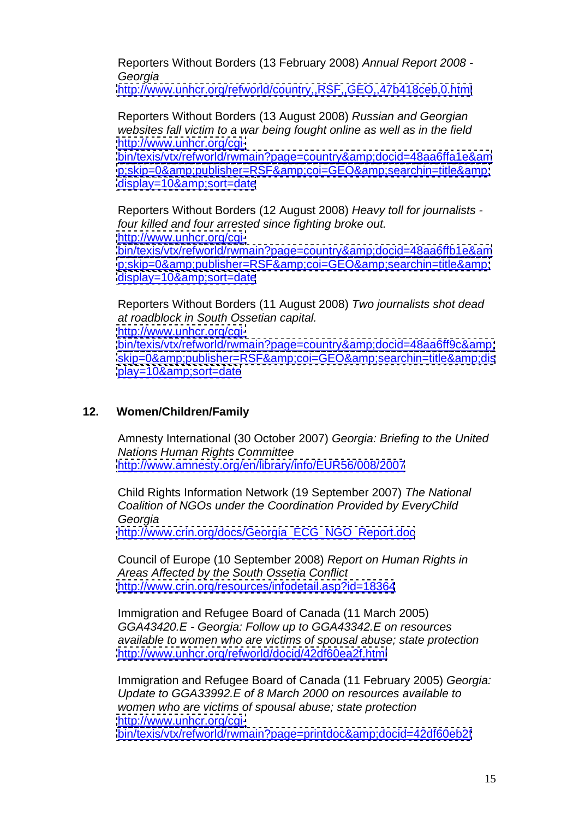Reporters Without Borders (13 February 2008) Annual Report 2008 - Georgia

<http://www.unhcr.org/refworld/country,,RSF,,GEO,,47b418ceb,0.html>

Reporters Without Borders (13 August 2008) Russian and Georgian websites fall victim to a war being fought online as well as in the field <http://www.unhcr.org/cgi->

<bin/texis/vtx/refworld/rwmain?page=country&docid=48aa6ffa1e&am> <p;skip=0&publisher=RSF&coi=GEO&searchin=title&>

<u>display=10&amp;sort=date</u><br>Reporters Without Borders (12 August 2008) *Heavy toll for journalists* four killed and four arrested since fighting broke out. [http://www.unhcr.org/cgi](http://www.unhcr.org/cgi-) bin/texis/vtx/refworld/rwmain?page=country&amp:docid=48aa6ffb1e&am <p;skip=0&publisher=RSF&coi=GEO&searchin=title&>

<u>display=10&amp;sort=date</u><br>Reporters Without Borders (11 August 2008) *Two journalists shot dead* at roadblock in South Ossetian capital. [http://www.unhcr.org/cgi](http://www.unhcr.org/cgi-) <bin/texis/vtx/refworld/rwmain?page=country&docid=48aa6ff9c&> <skip=0&publisher=RSF&coi=GEO&searchin=title&dis> <play=10&sort=date>

# **12. Women/Children/Family**

Amnesty International (30 October 2007) Georgia: Briefing to the United Nations Human Rights Committee

<http://www.amnesty.org/en/library/info/EUR56/008/2007><br>Child Rights Information Network (19 September 2007) The National Coalition of NGOs under the Coordination Provided by EveryChild Georgia

[http://www.crin.org/docs/Georgia\\_ECG\\_NGO\\_Report.doc](http://www.crin.org/docs/Georgia_ECG_NGO_Report.doc)

Council of Europe (10 September 2008) Report on Human Rights in Areas Affected by the South Ossetia Conflict <http://www.crin.org/resources/infodetail.asp?id=18364>

Immigration and Refugee Board of Canada (11 March 2005) GGA43420.E - Georgia: Follow up to GGA43342.E on resources available to women who are victims of spousal abuse; state protection <http://www.unhcr.org/refworld/docid/42df60ea2f.html>

Immigration and Refugee Board of Canada (11 February 2005) Georgia: Update to GGA33992.E of 8 March 2000 on resources available to women who are victims of spousal abuse; state protection [http://www.unhcr.org/cgi](http://www.unhcr.org/cgi-) <bin/texis/vtx/refworld/rwmain?page=printdoc&docid=42df60eb2f>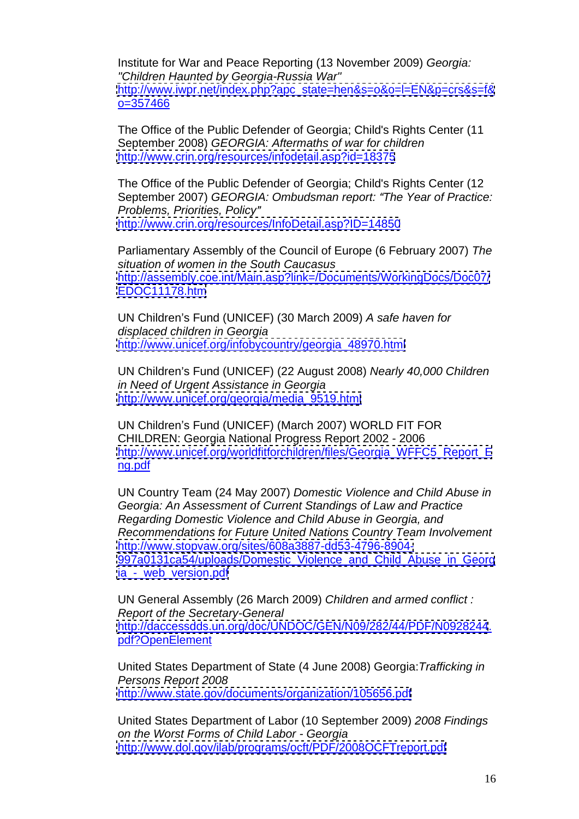Institute for War and Peace Reporting (13 November 2009) Georgia: "Children Haunted by Georgia-Russia War" [http://www.iwpr.net/index.php?apc\\_state=hen&s=o&o=l=EN&p=crs&s=f&](http://www.iwpr.net/index.php?apc_state=hen&s=o&o=l=EN&p=crs&s=f&) o=357466

The Office of the Public Defender of Georgia; Child's Rights Center (11 September 2008) GEORGIA: Aftermaths of war for children <http://www.crin.org/resources/infodetail.asp?id=18375>

The Office of the Public Defender of Georgia; Child's Rights Center (12 September 2007) GEORGIA: Ombudsman report: "The Year of Practice: Problems, Priorities, Policy

<http://www.crin.org/resources/InfoDetail.asp?ID=14850><br>Parliamentary Assembly of the Council of Europe (6 February 2007) The situation of women in the South Caucasus <http://assembly.coe.int/Main.asp?link=/Documents/WorkingDocs/Doc07/> <EDOC11178.htm>

UN Children's Fund (UNICEF) (30 March 2009) A safe haven for displaced children in Georgia [http://www.unicef.org/infobycountry/georgia\\_48970.html](http://www.unicef.org/infobycountry/georgia_48970.html)

UN Children's Fund (UNICEF) (22 August 2008) Nearly 40,000 Children in Need of Urgent Assistance in Georgia [http://www.unicef.org/georgia/media\\_9519.html](http://www.unicef.org/georgia/media_9519.html)

UN Children's Fund (UNICEF) (March 2007) WORLD FIT FOR CHILDREN: Georgia National Progress Report 2002 - 2006 [http://www.unicef.org/worldfitforchildren/files/Georgia\\_WFFC5\\_Report\\_E](http://www.unicef.org/worldfitforchildren/files/Georgia_WFFC5_Report_E) ng.pdf

UN Country Team (24 May 2007) Domestic Violence and Child Abuse in Georgia: An Assessment of Current Standings of Law and Practice Regarding Domestic Violence and Child Abuse in Georgia, and Recommendations for Future United Nations Country Team Involvement <http://www.stopvaw.org/sites/608a3887-dd53-4796-8904-> 997a0131ca54/uploads/Domestic Violence and Child Abuse in Georg ia - web version.pdf

UN General Assembly (26 March 2009) Children and armed conflict : Report of the Secretary-General <http://daccessdds.un.org/doc/UNDOC/GEN/N09/282/44/PDF/N0928244>. pdf?OpenElement<br>United States Department of State (4 June 2008) Georgia: Trafficking in

Persons Report 2008 <http://www.state.gov/documents/organization/105656.pdf>

United States Department of Labor (10 September 2009) 2008 Findings on the Worst Forms of Child Labor - Georgia <http://www.dol.gov/ilab/programs/ocft/PDF/2008OCFTreport.pdf>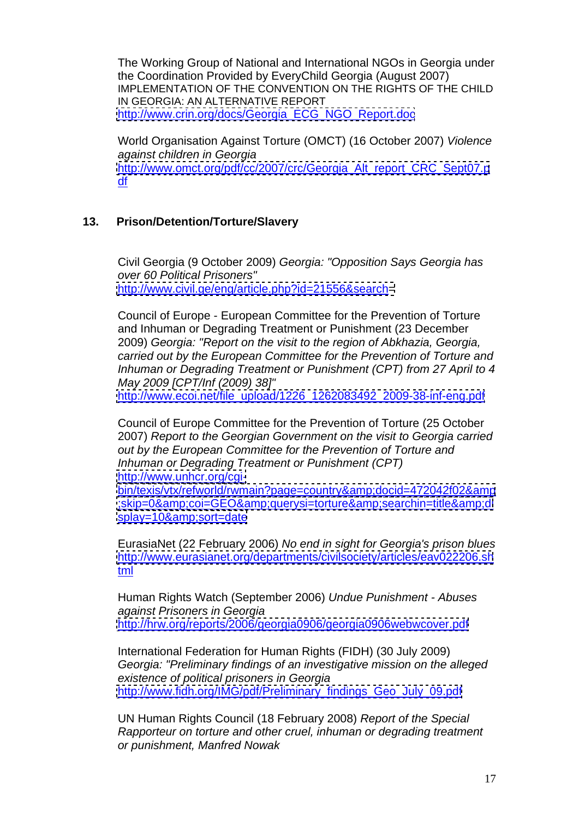The Working Group of National and International NGOs in Georgia under the Coordination Provided by EveryChild Georgia (August 2007) IMPLEMENTATION OF THE CONVENTION ON THE RIGHTS OF THE CHILD IN GEORGIA: AN ALTERNATIVE REPORT [http://www.crin.org/docs/Georgia\\_ECG\\_NGO\\_Report.doc](http://www.crin.org/docs/Georgia_ECG_NGO_Report.doc)

World Organisation Against Torture (OMCT) (16 October 2007) Violence against children in Georgia [http://www.omct.org/pdf/cc/2007/crc/Georgia\\_Alt\\_report\\_CRC\\_Sept07.p](http://www.omct.org/pdf/cc/2007/crc/Georgia_Alt_report_CRC_Sept07.p) <u>df</u> and the contract of the contract of the contract of the contract of the contract of the contract of the contract of the contract of the contract of the contract of the contract of the contract of the contract of the c

# **13. Prison/Detention/Torture/Slavery**

Civil Georgia (9 October 2009) Georgia: "Opposition Says Georgia has over 60 Political Prisoners" <http://www.civil.ge/eng/article.php?id=21556&search=>

Council of Europe - European Committee for the Prevention of Torture and Inhuman or Degrading Treatment or Punishment (23 December 2009) Georgia: "Report on the visit to the region of Abkhazia, Georgia, carried out by the European Committee for the Prevention of Torture and Inhuman or Degrading Treatment or Punishment (CPT) from 27 April to 4 May 2009 [CPT/Inf (2009) 38]" [http://www.ecoi.net/file\\_upload/1226\\_1262083492\\_2009-38-inf-eng.pdf](http://www.ecoi.net/file_upload/1226_1262083492_2009-38-inf-eng.pdf)

Council of Europe Committee for the Prevention of Torture (25 October 2007) Report to the Georgian Government on the visit to Georgia carried out by the European Committee for the Prevention of Torture and Inhuman or Degrading Treatment or Punishment (CPT) <http://www.unhcr.org/cgi->

[bin/texis/vtx/refworld/rwmain?page=country&docid=472042f02&amp](bin/texis/vtx/refworld/rwmain?page=country&docid=472042f02&) <;skip=0&coi=GEO&querysi=torture&searchin=title&di> <splay=10&sort=date> and a set of the set of the set of the set of the set of the set of the set of the set o

EurasiaNet (22 February 2006) No end in sight for Georgia's prison blues <http://www.eurasianet.org/departments/civilsociety/articles/eav022206.sh> t<mark>ml</mark> the contract of the contract of the contract of the contract of the contract of the contract of the contract of

Human Rights Watch (September 2006) Undue Punishment - Abuses against Prisoners in Georgia <http://hrw.org/reports/2006/georgia0906/georgia0906webwcover.pdf>

International Federation for Human Rights (FIDH) (30 July 2009) Georgia: "Preliminary findings of an investigative mission on the alleged existence of political prisoners in Georgia [http://www.fidh.org/IMG/pdf/Preliminary\\_findings\\_Geo\\_July\\_09.pdf](http://www.fidh.org/IMG/pdf/Preliminary_findings_Geo_July_09.pdf)

UN Human Rights Council (18 February 2008) Report of the Special Rapporteur on torture and other cruel, inhuman or degrading treatment or punishment, Manfred Nowak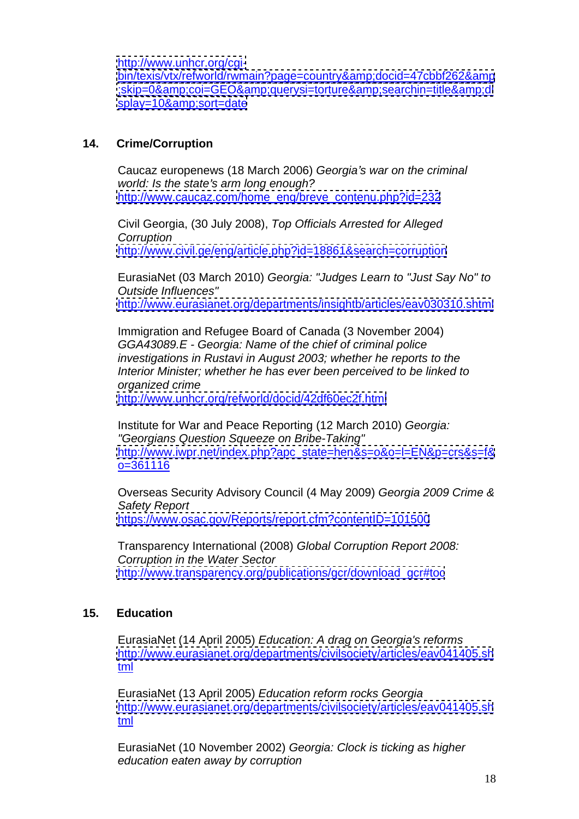<http://www.unhcr.org/cgi->

[bin/texis/vtx/refworld/rwmain?page=country&docid=47cbbf262&amp](bin/texis/vtx/refworld/rwmain?page=country&docid=47cbbf262&) :skip=0&amp:coi=GEO&amp:querysi=torture&amp:searchin=title&amp:di <splay=10&sort=date>

## **14. Crime/Corruption**

Caucaz europenews (18 March 2006) Georgia's war on the criminal world: Is the state's arm long enough? [http://www.caucaz.com/home\\_eng/breve\\_contenu.php?id=232](http://www.caucaz.com/home_eng/breve_contenu.php?id=232)

Civil Georgia, (30 July 2008), Top Officials Arrested for Alleged **Corruption Corruption** 

<http://www.civil.ge/eng/article.php?id=18861&search=corruption><br>EurasiaNet (03 March 2010) *Georgia: "Judges Learn to "Just Say No" to* Outside Influences" <http://www.eurasianet.org/departments/insightb/articles/eav030310.shtml>

Immigration and Refugee Board of Canada (3 November 2004) GGA43089.E - Georgia: Name of the chief of criminal police investigations in Rustavi in August 2003; whether he reports to the Interior Minister; whether he has ever been perceived to be linked to organized crime <http://www.unhcr.org/refworld/docid/42df60ec2f.html>

Institute for War and Peace Reporting (12 March 2010) Georgia: "Georgians Question Squeeze on Bribe-Taking" [http://www.iwpr.net/index.php?apc\\_state=hen&s=o&o=l=EN&p=crs&s=f&](http://www.iwpr.net/index.php?apc_state=hen&s=o&o=l=EN&p=crs&s=f&) o=361116

Overseas Security Advisory Council (4 May 2009) Georgia 2009 Crime & Safety Report <https://www.osac.gov/Reports/report.cfm?contentID=101500>

Transparency International (2008) Global Corruption Report 2008: Corruption in the Water Sector [http://www.transparency.org/publications/gcr/download\\_gcr#toc](http://www.transparency.org/publications/gcr/download_gcr#toc)

# **15. Education**

EurasiaNet (14 April 2005) Education: A drag on Georgia's reforms <http://www.eurasianet.org/departments/civilsociety/articles/eav041405.sh> t<mark>ml</mark> the contract of the contract of the contract of the contract of the contract of the contract of the contract of

EurasiaNet (13 April 2005) Education reform rocks Georgia <http://www.eurasianet.org/departments/civilsociety/articles/eav041405.sh> t<mark>ml</mark> the contract of the contract of the contract of the contract of the contract of the contract of the contract of

EurasiaNet (10 November 2002) Georgia: Clock is ticking as higher education eaten away by corruption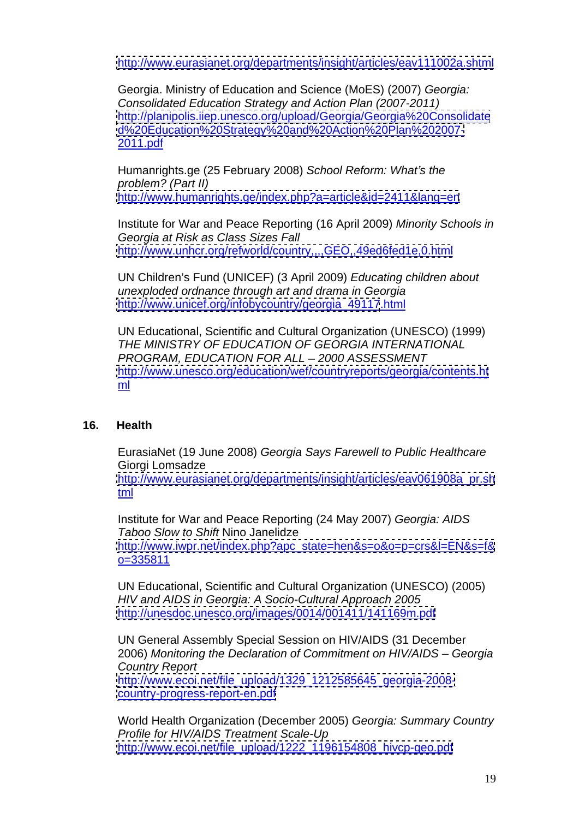<http://www.eurasianet.org/departments/insight/articles/eav111002a.shtml>

Georgia. Ministry of Education and Science (MoES) (2007) Georgia: Consolidated Education Strategy and Action Plan (2007-2011) <http://planipolis.iiep.unesco.org/upload/Georgia/Georgia%20Consolidate> <d%20Education%20Strategy%20and%20Action%20Plan%202007-> 2011.pdf

Humanrights.ge (25 February 2008) School Reform: What's the problem? (Part II)

<http://www.humanrights.ge/index.php?a=article&id=2411&lang=en>

Institute for War and Peace Reporting (16 April 2009) Minority Schools in Georgia at Risk as Class Sizes Fall<br>http://www.unhcr.org/refworld/country....GEO..49ed6fed1e.0.html <u><http://www.unhcr.org/refworld/country,,,,GEO,,49ed6fed1e,0.html></u><br>UN Children's Fund (UNICEF) (3 April 2009) *Educating children about* 

unexploded ordnance through art and drama in Georgia [http://www.unicef.org/infobycountry/georgia\\_49117](http://www.unicef.org/infobycountry/georgia_49117).html

UN Educational, Scientific and Cultural Organization (UNESCO) (1999) THE MINISTRY OF EDUCATION OF GEORGIA INTERNATIONAL PROGRAM, EDUCATION FOR ALL - 2000 ASSESSMENT <http://www.unesco.org/education/wef/countryreports/georgia/contents.ht> ml and the state of the state of the state of the state of the state of the state of the state of the state of

# **16. Health**

EurasiaNet (19 June 2008) Georgia Says Farewell to Public Healthcare Giorgi Lomsadze [http://www.eurasianet.org/departments/insight/articles/eav061908a\\_pr.sh](http://www.eurasianet.org/departments/insight/articles/eav061908a_pr.sh) t<mark>ml</mark> the contract of the contract of the contract of the contract of the contract of the contract of the contract of

Institute for War and Peace Reporting (24 May 2007) Georgia: AIDS Taboo Slow to Shift Nino Janelidze [http://www.iwpr.net/index.php?apc\\_state=hen&s=o&o=p=crs&l=EN&s=f&](http://www.iwpr.net/index.php?apc_state=hen&s=o&o=p=crs&l=EN&s=f&) o=335811

UN Educational, Scientific and Cultural Organization (UNESCO) (2005) HIV and AIDS in Georgia: A Socio-Cultural Approach 2005 <http://unesdoc.unesco.org/images/0014/001411/141169m.pdf>

UN General Assembly Special Session on HIV/AIDS (31 December 2006) Monitoring the Declaration of Commitment on HIV/AIDS - Georgia Country Report [http://www.ecoi.net/file\\_upload/1329\\_1212585645\\_georgia-2008](http://www.ecoi.net/file_upload/1329_1212585645_georgia-2008-) <country-progress-report-en.pdf>

World Health Organization (December 2005) Georgia: Summary Country Profile for HIV/AIDS Treatment Scale-Up [http://www.ecoi.net/file\\_upload/1222\\_1196154808\\_hivcp-geo.pdf](http://www.ecoi.net/file_upload/1222_1196154808_hivcp-geo.pdf)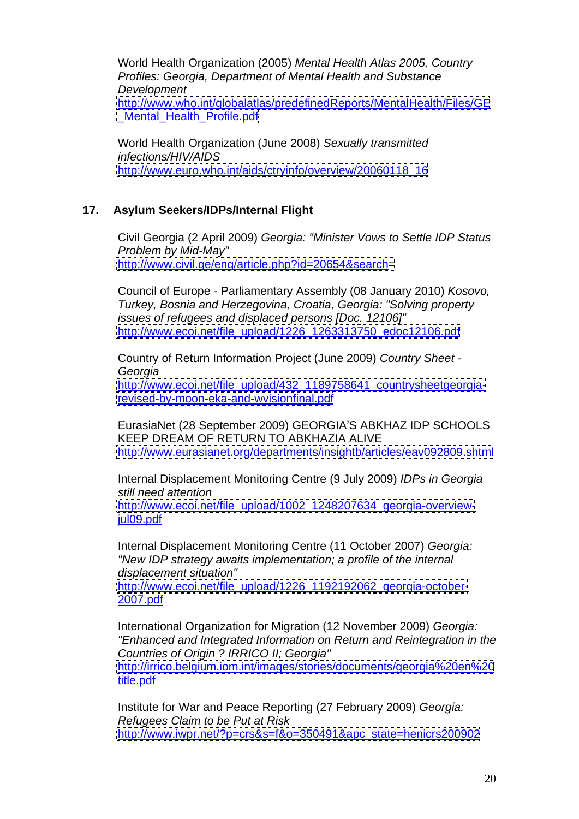World Health Organization (2005) Mental Health Atlas 2005, Country Profiles: Georgia, Department of Mental Health and Substance Development <http://www.who.int/globalatlas/predefinedReports/MentalHealth/Files/GE>

Mental Health Profile.pdf

World Health Organization (June 2008) Sexually transmitted infections/HIV/AIDS [http://www.euro.who.int/aids/ctryinfo/overview/20060118\\_16](http://www.euro.who.int/aids/ctryinfo/overview/20060118_16)

## **17. Asylum Seekers/IDPs/Internal Flight**

Civil Georgia (2 April 2009) Georgia: "Minister Vows to Settle IDP Status Problem by Mid-May" <http://www.civil.ge/eng/article.php?id=20654&search=>

Council of Europe - Parliamentary Assembly (08 January 2010) Kosovo, Turkey, Bosnia and Herzegovina, Croatia, Georgia: "Solving property issues of refugees and displaced persons [Doc. 12106]" [http://www.ecoi.net/file\\_upload/1226\\_1263313750\\_edoc12106.pdf](http://www.ecoi.net/file_upload/1226_1263313750_edoc12106.pdf)

Country of Return Information Project (June 2009) Country Sheet - Georgia

[http://www.ecoi.net/file\\_upload/432\\_1189758641\\_countrysheetgeorgia](http://www.ecoi.net/file_upload/432_1189758641_countrysheetgeorgia-)<revised-by-moon-eka-and-wvisionfinal.pdf>

EurasiaNet (28 September 2009) GEORGIA'S ABKHAZ IDP SCHOOLS KEEP DREAM OF RETURN TO ABKHAZIA ALIVE <http://www.eurasianet.org/departments/insightb/articles/eav092809.shtml>

Internal Displacement Monitoring Centre (9 July 2009) IDPs in Georgia still need attention

[http://www.ecoi.net/file\\_upload/1002\\_1248207634\\_georgia-overview](http://www.ecoi.net/file_upload/1002_1248207634_georgia-overview-)jul09.pdf

Internal Displacement Monitoring Centre (11 October 2007) Georgia: "New IDP strategy awaits implementation; a profile of the internal displacement situation"

[http://www.ecoi.net/file\\_upload/1226\\_1192192062\\_georgia-october-](http://www.ecoi.net/file_upload/1226_1192192062_georgia-october-) 2007.pdf

International Organization for Migration (12 November 2009) Georgia: "Enhanced and Integrated Information on Return and Reintegration in the Countries of Origin ? IRRICO II; Georgia"

<http://irrico.belgium.iom.int/images/stories/documents/georgia%20en%20> title.pdf

Institute for War and Peace Reporting (27 February 2009) Georgia: Refugees Claim to be Put at Risk [http://www.iwpr.net/?p=crs&s=f&o=350491&apc\\_state=henicrs200902](http://www.iwpr.net/?p=crs&s=f&o=350491&apc_state=henicrs200902)